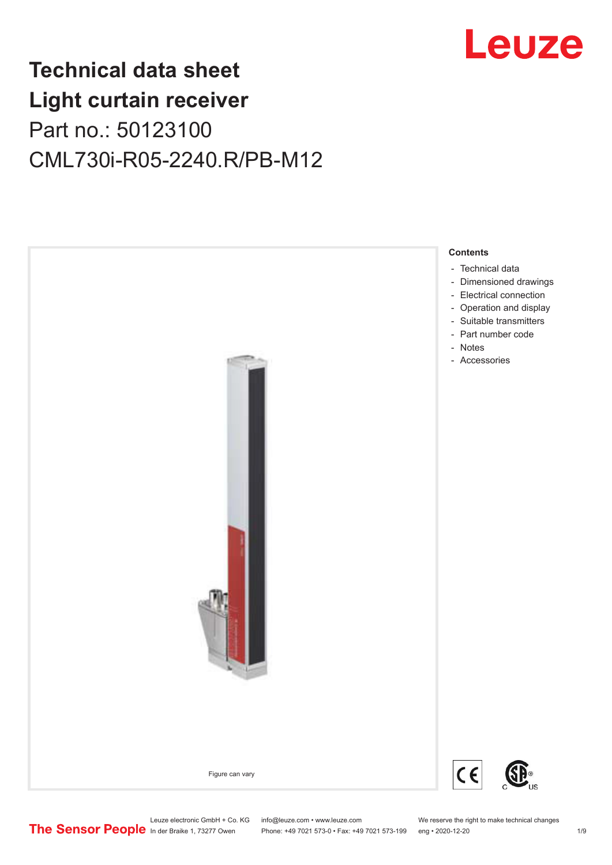

## **Technical data sheet Light curtain receiver** Part no.: 50123100 CML730i-R05-2240.R/PB-M12



Leuze electronic GmbH + Co. KG info@leuze.com • www.leuze.com We reserve the right to make technical changes<br>
The Sensor People in der Braike 1, 73277 Owen Phone: +49 7021 573-0 • Fax: +49 7021 573-199 eng • 2020-12-20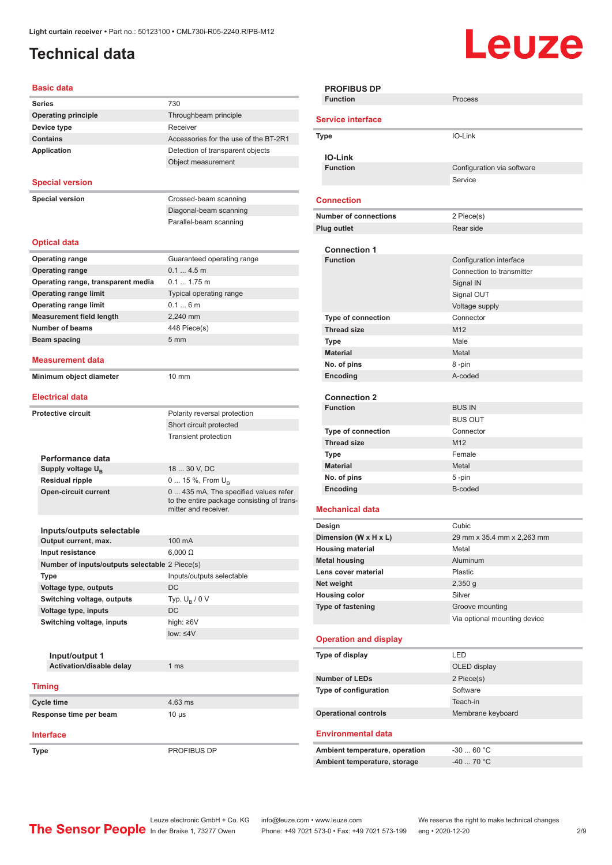## <span id="page-1-0"></span>**Technical data**

# **Leuze**

| <b>Basic data</b>                                    |                                                                    |
|------------------------------------------------------|--------------------------------------------------------------------|
| <b>Series</b>                                        | 730                                                                |
| <b>Operating principle</b>                           | Throughbeam principle                                              |
| Device type                                          | Receiver                                                           |
| <b>Contains</b>                                      | Accessories for the use of the BT-2R1                              |
| Application                                          | Detection of transparent objects                                   |
|                                                      | Object measurement                                                 |
| <b>Special version</b>                               |                                                                    |
|                                                      |                                                                    |
| <b>Special version</b>                               | Crossed-beam scanning                                              |
|                                                      | Diagonal-beam scanning<br>Parallel-beam scanning                   |
|                                                      |                                                                    |
| <b>Optical data</b>                                  |                                                                    |
| <b>Operating range</b>                               | Guaranteed operating range                                         |
| <b>Operating range</b>                               | $0.14.5$ m                                                         |
| Operating range, transparent media                   | $0.1$ 1.75 m                                                       |
| <b>Operating range limit</b>                         | Typical operating range                                            |
| <b>Operating range limit</b>                         | 0.16m                                                              |
| <b>Measurement field length</b>                      | 2,240 mm                                                           |
| <b>Number of beams</b>                               | 448 Piece(s)                                                       |
| Beam spacing                                         | 5 <sub>mm</sub>                                                    |
| <b>Measurement data</b>                              |                                                                    |
| Minimum object diameter                              | $10 \text{ mm}$                                                    |
|                                                      |                                                                    |
| <b>Electrical data</b>                               |                                                                    |
| <b>Protective circuit</b>                            | Polarity reversal protection                                       |
|                                                      | Short circuit protected                                            |
|                                                      | <b>Transient protection</b>                                        |
|                                                      |                                                                    |
| Performance data                                     | 18  30 V, DC                                                       |
| Supply voltage $U_{\rm B}$<br><b>Residual ripple</b> | 0  15 %, From $U_{\rm B}$                                          |
| <b>Open-circuit current</b>                          | 0  435 mA, The specified values refer                              |
|                                                      | to the entire package consisting of trans-<br>mitter and receiver. |
|                                                      |                                                                    |
| Inputs/outputs selectable                            |                                                                    |
| Output current, max.                                 | $100 \text{ mA}$                                                   |
| Input resistance                                     | $6,000 \Omega$                                                     |
| Number of inputs/outputs selectable 2 Piece(s)       |                                                                    |
| Type                                                 | Inputs/outputs selectable                                          |
| Voltage type, outputs                                | DC                                                                 |
| Switching voltage, outputs                           | Typ. $U_R / 0 V$                                                   |
| Voltage type, inputs                                 | DC                                                                 |
| Switching voltage, inputs                            | high: ≥6V                                                          |
|                                                      | low: $\leq 4V$                                                     |
| Input/output 1                                       |                                                                    |
| Activation/disable delay                             | 1 ms                                                               |
|                                                      |                                                                    |
| <b>Timing</b>                                        |                                                                    |
| Cycle time                                           | 4.63 ms                                                            |
| Response time per beam                               | $10 \mu s$                                                         |
| <b>Interface</b>                                     |                                                                    |
|                                                      |                                                                    |

| <b>PROFIBUS DP</b><br><b>Function</b> | Process                      |
|---------------------------------------|------------------------------|
|                                       |                              |
| <b>Service interface</b>              |                              |
| <b>Type</b>                           | IO-Link                      |
|                                       |                              |
| <b>IO-Link</b><br><b>Function</b>     | Configuration via software   |
|                                       | Service                      |
|                                       |                              |
| <b>Connection</b>                     |                              |
| <b>Number of connections</b>          | 2 Piece(s)                   |
| Plug outlet                           | Rear side                    |
| <b>Connection 1</b>                   |                              |
| <b>Function</b>                       | Configuration interface      |
|                                       | Connection to transmitter    |
|                                       | Signal IN                    |
|                                       | Signal OUT                   |
|                                       | Voltage supply               |
| Type of connection                    | Connector                    |
| <b>Thread size</b>                    | M12                          |
| <b>Type</b>                           | Male                         |
| <b>Material</b>                       | Metal                        |
| No. of pins                           | 8-pin                        |
| Encoding                              | A-coded                      |
|                                       |                              |
| <b>Connection 2</b>                   |                              |
| <b>Function</b>                       | <b>BUS IN</b>                |
|                                       | <b>BUS OUT</b>               |
| <b>Type of connection</b>             | Connector                    |
| <b>Thread size</b>                    | M <sub>12</sub>              |
| <b>Type</b>                           | Female                       |
| <b>Material</b>                       | Metal                        |
| No. of pins<br>Encoding               | 5-pin<br>B-coded             |
|                                       |                              |
| <b>Mechanical data</b>                |                              |
| Design                                | Cubic                        |
| Dimension (W x H x L)                 | 29 mm x 35.4 mm x 2,263 mm   |
| <b>Housing material</b>               | Metal                        |
| <b>Metal housing</b>                  | Aluminum                     |
| Lens cover material                   | Plastic                      |
| Net weight                            | $2,350$ g                    |
| <b>Housing color</b>                  | Silver                       |
| Type of fastening                     | Groove mounting              |
|                                       | Via optional mounting device |
| <b>Operation and display</b>          |                              |
|                                       |                              |
| Type of display                       | LED                          |
|                                       | OLED display                 |
| <b>Number of LEDs</b>                 | 2 Piece(s)                   |
| Type of configuration                 | Software                     |
|                                       | Teach-in                     |
| <b>Operational controls</b>           | Membrane keyboard            |
| <b>Environmental data</b>             |                              |
|                                       |                              |
| Ambient temperature, operation        | $-3060 °C$                   |
| Ambient temperature, storage          | $-4070 °C$                   |

**Type** PROFIBUS DP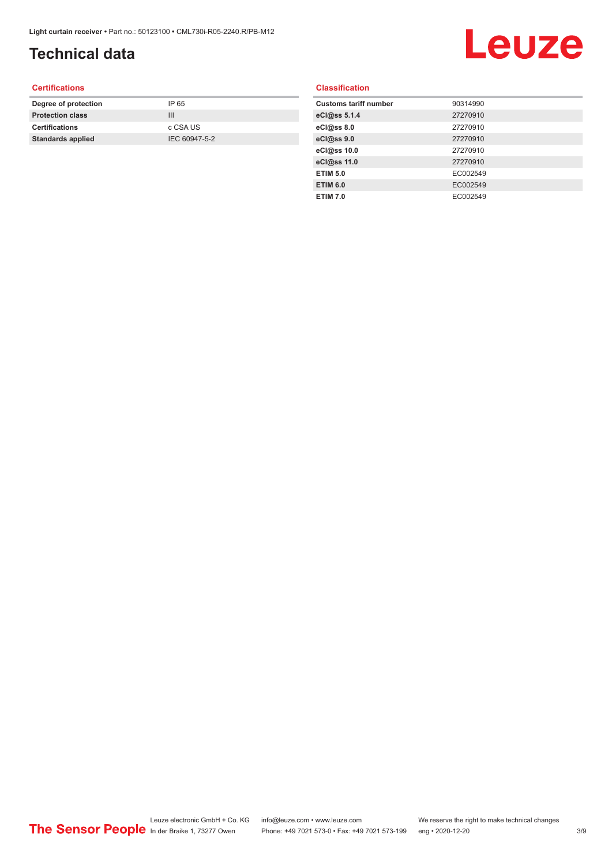## **Technical data**

## Leuze

#### **Certifications**

| Degree of protection     | IP 65         |
|--------------------------|---------------|
| <b>Protection class</b>  | Ш             |
| <b>Certifications</b>    | c CSA US      |
| <b>Standards applied</b> | IEC 60947-5-2 |
|                          |               |

#### **Classification**

| <b>Customs tariff number</b> | 90314990 |
|------------------------------|----------|
| eCl@ss 5.1.4                 | 27270910 |
| eCl@ss 8.0                   | 27270910 |
| eCl@ss 9.0                   | 27270910 |
| eCl@ss 10.0                  | 27270910 |
| eCl@ss 11.0                  | 27270910 |
| <b>ETIM 5.0</b>              | EC002549 |
| <b>ETIM 6.0</b>              | EC002549 |
| <b>ETIM 7.0</b>              | EC002549 |
|                              |          |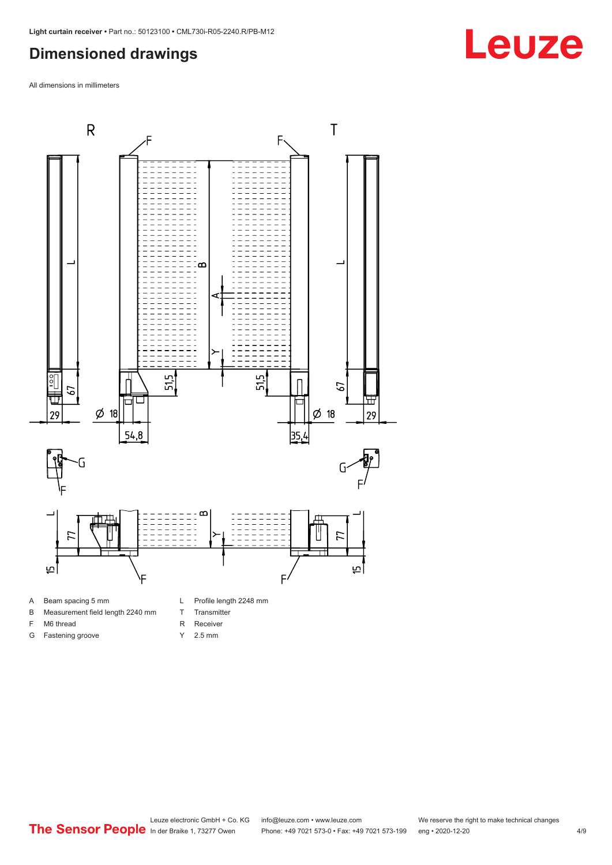#### <span id="page-3-0"></span>**Dimensioned drawings**

All dimensions in millimeters



A Beam spacing 5 mm

G Fastening groove

- B Measurement field length 2240 mm
- F M6 thread
- R Receiver
	- Y 2.5 mm

T Transmitter

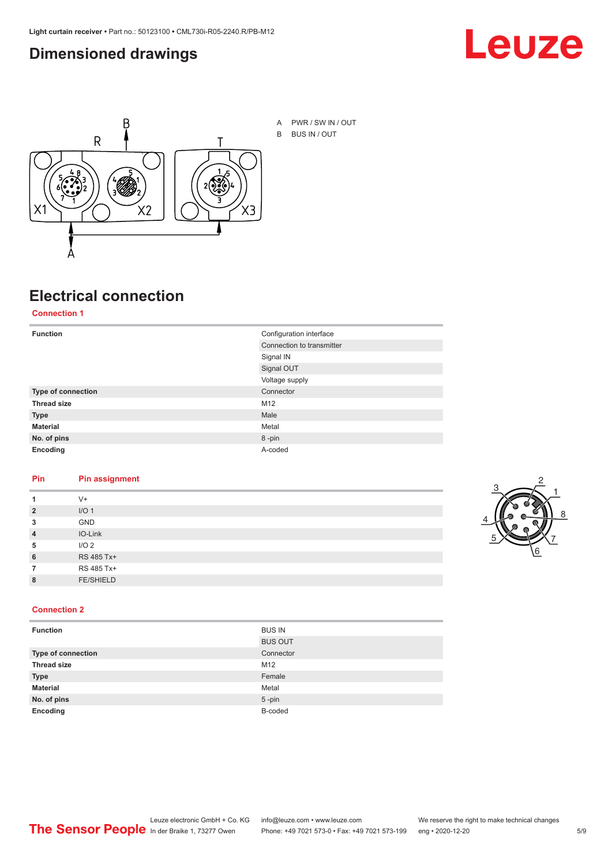#### <span id="page-4-0"></span>**Dimensioned drawings**





A PWR / SW IN / OUT B BUS IN / OUT

## **Electrical connection**

**Connection 1**

| <b>Function</b>    | Configuration interface   |  |
|--------------------|---------------------------|--|
|                    | Connection to transmitter |  |
|                    | Signal IN                 |  |
|                    | Signal OUT                |  |
|                    | Voltage supply            |  |
| Type of connection | Connector                 |  |
| <b>Thread size</b> | M12                       |  |
| <b>Type</b>        | Male                      |  |
| <b>Material</b>    | Metal                     |  |
| No. of pins        | 8-pin                     |  |
| Encoding           | A-coded                   |  |

#### **Pin Pin assignment**

| 1              | $V +$            |  |  |
|----------------|------------------|--|--|
| $\overline{2}$ | I/O <sub>1</sub> |  |  |
| 3              | <b>GND</b>       |  |  |
| $\overline{4}$ | IO-Link          |  |  |
| 5              | I/O <sub>2</sub> |  |  |
| 6              | RS 485 Tx+       |  |  |
| 7              | RS 485 Tx+       |  |  |
| 8              | <b>FE/SHIELD</b> |  |  |
|                |                  |  |  |



#### **Connection 2**

| <b>Function</b>    | <b>BUS IN</b>  |
|--------------------|----------------|
|                    | <b>BUS OUT</b> |
| Type of connection | Connector      |
| <b>Thread size</b> | M12            |
| <b>Type</b>        | Female         |
| <b>Material</b>    | Metal          |
| No. of pins        | $5 - pin$      |
| Encoding           | B-coded        |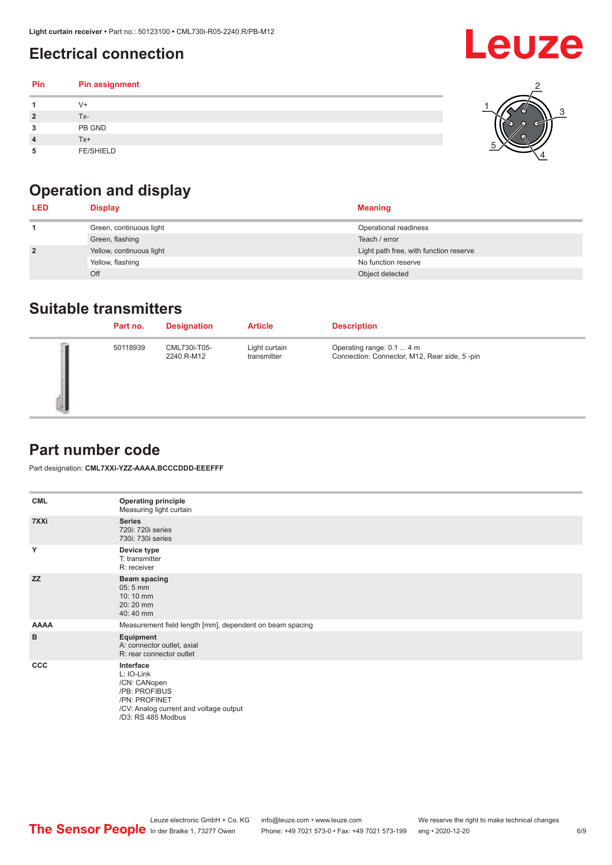## <span id="page-5-0"></span>**Electrical connection**

#### **Pin Pin assignment 1** V+ **2** Tx-**3** PB GND **4** Tx+ **5** FE/SHIELD 3 2 1 5 4



| <b>LED</b>     | <b>Display</b>           | <b>Meaning</b>                         |
|----------------|--------------------------|----------------------------------------|
|                | Green, continuous light  | Operational readiness                  |
|                | Green, flashing          | Teach / error                          |
| $\overline{2}$ | Yellow, continuous light | Light path free, with function reserve |
|                | Yellow, flashing         | No function reserve                    |
|                | Off                      | Object detected                        |

#### **Suitable transmitters**

| Part no. | <b>Designation</b>         | <b>Article</b>               | <b>Description</b>                                                        |
|----------|----------------------------|------------------------------|---------------------------------------------------------------------------|
| 50118939 | CML730i-T05-<br>2240.R-M12 | Light curtain<br>transmitter | Operating range: 0.1  4 m<br>Connection: Connector, M12, Rear side, 5-pin |

### **Part number code**

Part designation: **CML7XXi-YZZ-AAAA.BCCCDDD-EEEFFF**

| <b>CML</b>  | <b>Operating principle</b><br>Measuring light curtain                                                                                     |
|-------------|-------------------------------------------------------------------------------------------------------------------------------------------|
| 7XXi        | <b>Series</b><br>720i: 720i series<br>730i: 730i series                                                                                   |
| Y           | Device type<br>T: transmitter<br>R: receiver                                                                                              |
| <b>ZZ</b>   | <b>Beam spacing</b><br>05:5 mm<br>10:10 mm<br>20:20 mm<br>40:40 mm                                                                        |
| <b>AAAA</b> | Measurement field length [mm], dependent on beam spacing                                                                                  |
| в           | Equipment<br>A: connector outlet, axial<br>R: rear connector outlet                                                                       |
| <b>CCC</b>  | Interface<br>L: IO-Link<br>/CN: CANopen<br>/PB: PROFIBUS<br>/PN: PROFINET<br>/CV: Analog current and voltage output<br>/D3: RS 485 Modbus |

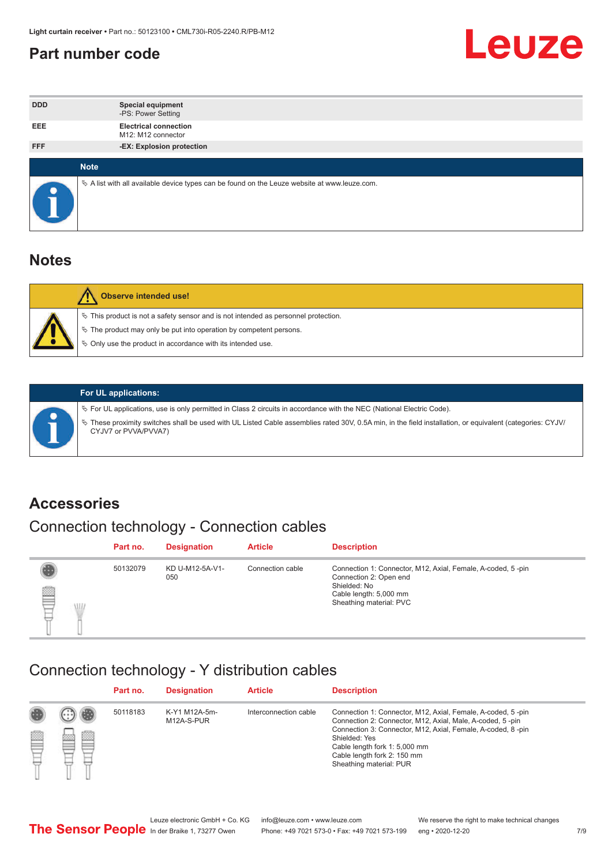#### <span id="page-6-0"></span>**Part number code**



| <b>DDD</b> | <b>Special equipment</b><br>-PS: Power Setting                                                    |
|------------|---------------------------------------------------------------------------------------------------|
| <b>EEE</b> | <b>Electrical connection</b><br>M12: M12 connector                                                |
| <b>FFF</b> | -EX: Explosion protection                                                                         |
|            | <b>Note</b>                                                                                       |
|            | Vector A list with all available device types can be found on the Leuze website at www.leuze.com. |

#### **Notes**

| Observe intended use!                                                                                                                                                                                                            |
|----------------------------------------------------------------------------------------------------------------------------------------------------------------------------------------------------------------------------------|
| $\%$ This product is not a safety sensor and is not intended as personnel protection.<br>$\%$ The product may only be put into operation by competent persons.<br>$\%$ Only use the product in accordance with its intended use. |
|                                                                                                                                                                                                                                  |



#### **For UL applications:**

ª For UL applications, use is only permitted in Class 2 circuits in accordance with the NEC (National Electric Code). ª These proximity switches shall be used with UL Listed Cable assemblies rated 30V, 0.5A min, in the field installation, or equivalent (categories: CYJV/ CYJV7 or PVVA/PVVA7)

#### **Accessories**

## Connection technology - Connection cables

|        | Part no. | <b>Designation</b>     | <b>Article</b>   | <b>Description</b>                                                                                                                                         |
|--------|----------|------------------------|------------------|------------------------------------------------------------------------------------------------------------------------------------------------------------|
| 2<br>W | 50132079 | KD U-M12-5A-V1-<br>050 | Connection cable | Connection 1: Connector, M12, Axial, Female, A-coded, 5-pin<br>Connection 2: Open end<br>Shielded: No<br>Cable length: 5,000 mm<br>Sheathing material: PVC |

#### Connection technology - Y distribution cables

|             |   | Part no. | <b>Designation</b>          | <b>Article</b>        | <b>Description</b>                                                                                                                                                                                                                                                                                  |
|-------------|---|----------|-----------------------------|-----------------------|-----------------------------------------------------------------------------------------------------------------------------------------------------------------------------------------------------------------------------------------------------------------------------------------------------|
| 圔<br>⋿<br>٣ | ø | 50118183 | K-Y1 M12A-5m-<br>M12A-S-PUR | Interconnection cable | Connection 1: Connector, M12, Axial, Female, A-coded, 5-pin<br>Connection 2: Connector, M12, Axial, Male, A-coded, 5-pin<br>Connection 3: Connector, M12, Axial, Female, A-coded, 8-pin<br>Shielded: Yes<br>Cable length fork 1: 5,000 mm<br>Cable length fork 2: 150 mm<br>Sheathing material: PUR |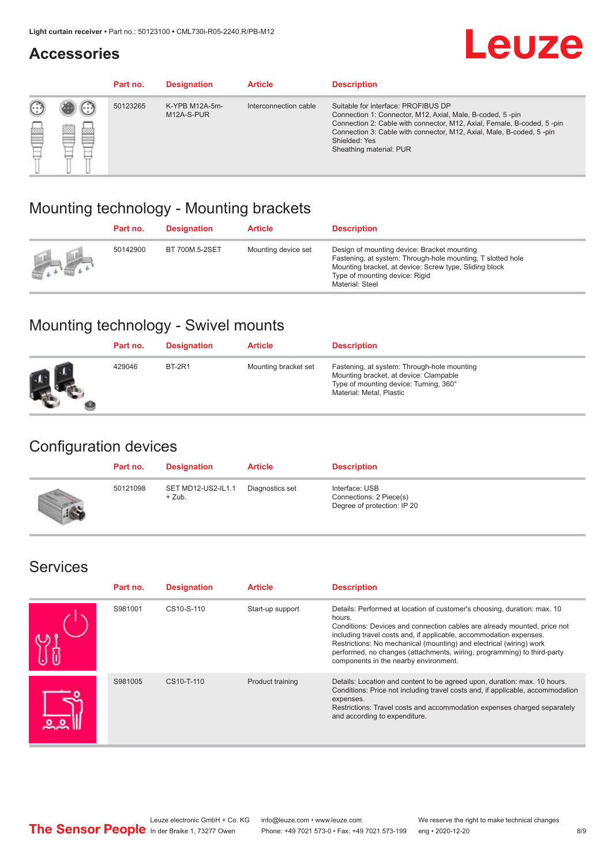#### **Accessories**

## **Leuze**

|     |         | Part no. | <b>Designation</b>           | <b>Article</b>        | <b>Description</b>                                                                                                                                                                                                                                                                             |
|-----|---------|----------|------------------------------|-----------------------|------------------------------------------------------------------------------------------------------------------------------------------------------------------------------------------------------------------------------------------------------------------------------------------------|
| 622 | ×<br>65 | 50123265 | K-YPB M12A-5m-<br>M12A-S-PUR | Interconnection cable | Suitable for interface: PROFIBUS DP<br>Connection 1: Connector, M12, Axial, Male, B-coded, 5-pin<br>Connection 2: Cable with connector, M12, Axial, Female, B-coded, 5-pin<br>Connection 3: Cable with connector, M12, Axial, Male, B-coded, 5-pin<br>Shielded: Yes<br>Sheathing material: PUR |

### Mounting technology - Mounting brackets

|               | Part no. | <b>Designation</b> | <b>Article</b>      | <b>Description</b>                                                                                                                                                                                                        |
|---------------|----------|--------------------|---------------------|---------------------------------------------------------------------------------------------------------------------------------------------------------------------------------------------------------------------------|
| $\frac{1}{2}$ | 50142900 | BT 700M.5-2SET     | Mounting device set | Design of mounting device: Bracket mounting<br>Fastening, at system: Through-hole mounting, T slotted hole<br>Mounting bracket, at device: Screw type, Sliding block<br>Type of mounting device: Rigid<br>Material: Steel |

### Mounting technology - Swivel mounts

| Part no. | <b>Designation</b> | <b>Article</b>       | <b>Description</b>                                                                                                                                          |
|----------|--------------------|----------------------|-------------------------------------------------------------------------------------------------------------------------------------------------------------|
| 429046   | <b>BT-2R1</b>      | Mounting bracket set | Fastening, at system: Through-hole mounting<br>Mounting bracket, at device: Clampable<br>Type of mounting device: Turning, 360°<br>Material: Metal, Plastic |

### Configuration devices

| Part no. | <b>Designation</b>             | <b>Article</b>  | <b>Description</b>                                                       |
|----------|--------------------------------|-----------------|--------------------------------------------------------------------------|
| 50121098 | SET MD12-US2-IL1.1<br>$+$ Zub. | Diagnostics set | Interface: USB<br>Connections: 2 Piece(s)<br>Degree of protection: IP 20 |

#### Services

| Part no. | <b>Designation</b> | <b>Article</b>   | <b>Description</b>                                                                                                                                                                                                                                                                                                                                                                                                              |
|----------|--------------------|------------------|---------------------------------------------------------------------------------------------------------------------------------------------------------------------------------------------------------------------------------------------------------------------------------------------------------------------------------------------------------------------------------------------------------------------------------|
| S981001  | CS10-S-110         | Start-up support | Details: Performed at location of customer's choosing, duration: max. 10<br>hours.<br>Conditions: Devices and connection cables are already mounted, price not<br>including travel costs and, if applicable, accommodation expenses.<br>Restrictions: No mechanical (mounting) and electrical (wiring) work<br>performed, no changes (attachments, wiring, programming) to third-party<br>components in the nearby environment. |
| S981005  | CS10-T-110         | Product training | Details: Location and content to be agreed upon, duration: max. 10 hours.<br>Conditions: Price not including travel costs and, if applicable, accommodation<br>expenses.<br>Restrictions: Travel costs and accommodation expenses charged separately<br>and according to expenditure.                                                                                                                                           |